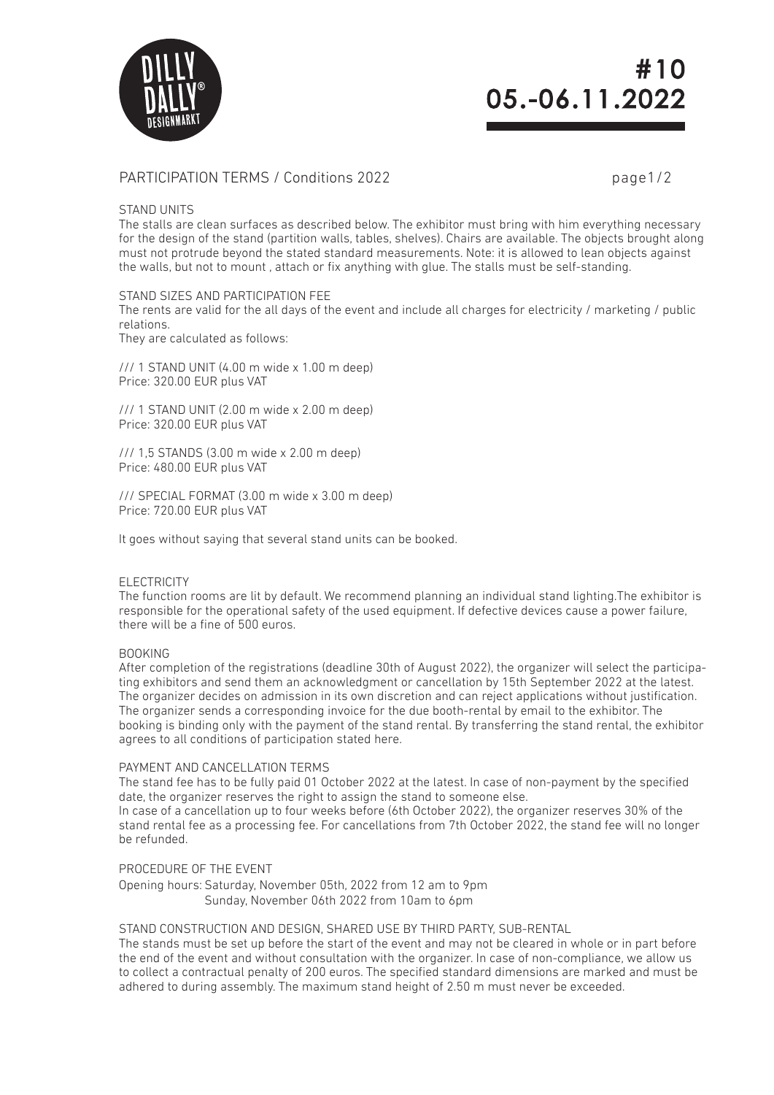

# #10 05. -06.11.2022

# PARTICIPATION TERMS / Conditions 2022 page1/2

## STAND UNITS

The stalls are clean surfaces as described below. The exhibitor must bring with him everything necessary for the design of the stand (partition walls, tables, shelves). Chairs are available. The objects brought along must not protrude beyond the stated standard measurements. Note: it is allowed to lean objects against the walls, but not to mount , attach or fix anything with glue. The stalls must be self-standing.

## STAND SIZES AND PARTICIPATION FFF

The rents are valid for the all days of the event and include all charges for electricity / marketing / public relations.

They are calculated as follows:

/// 1 STAND UNIT (4.00 m wide x 1.00 m deep) Price: 320.00 EUR plus VAT

/// 1 STAND UNIT (2.00 m wide x 2.00 m deep) Price: 320.00 EUR plus VAT

/// 1,5 STANDS (3.00 m wide x 2.00 m deep) Price: 480.00 EUR plus VAT

/// SPECIAL FORMAT (3.00 m wide x 3.00 m deep) Price: 720.00 EUR plus VAT

It goes without saying that several stand units can be booked.

# ELECTRICITY

The function rooms are lit by default. We recommend planning an individual stand lighting.The exhibitor is responsible for the operational safety of the used equipment. If defective devices cause a power failure, there will be a fine of 500 euros.

# BOOKING

After completion of the registrations (deadline 30th of August 2022), the organizer will select the participating exhibitors and send them an acknowledgment or cancellation by 15th September 2022 at the latest. The organizer decides on admission in its own discretion and can reject applications without justification. The organizer sends a corresponding invoice for the due booth-rental by email to the exhibitor. The booking is binding only with the payment of the stand rental. By transferring the stand rental, the exhibitor agrees to all conditions of participation stated here.

### PAYMENT AND CANCELLATION TERMS

The stand fee has to be fully paid 01 October 2022 at the latest. In case of non-payment by the specified date, the organizer reserves the right to assign the stand to someone else. In case of a cancellation up to four weeks before (6th October 2022), the organizer reserves 30% of the

stand rental fee as a processing fee. For cancellations from 7th October 2022, the stand fee will no longer be refunded.

# PROCEDURE OF THE EVENT

Opening hours: Saturday, November 05th, 2022 from 12 am to 9pm Sunday, November 06th 2022 from 10am to 6pm

### STAND CONSTRUCTION AND DESIGN, SHARED USE BY THIRD PARTY, SUB-RENTAL

The stands must be set up before the start of the event and may not be cleared in whole or in part before the end of the event and without consultation with the organizer. In case of non-compliance, we allow us to collect a contractual penalty of 200 euros. The specified standard dimensions are marked and must be adhered to during assembly. The maximum stand height of 2.50 m must never be exceeded.